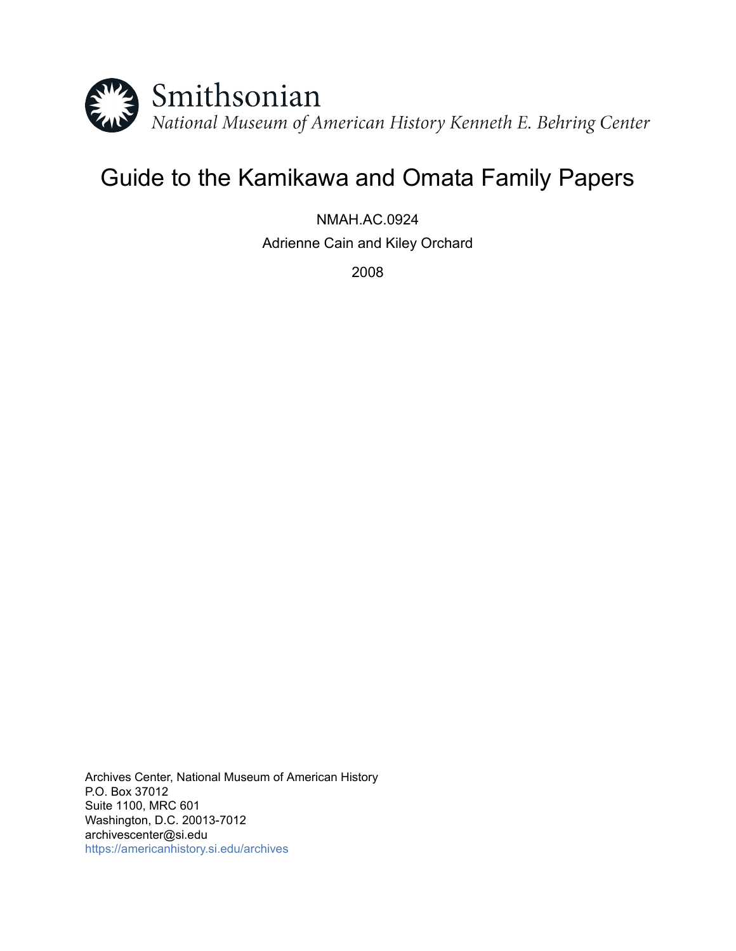

# Guide to the Kamikawa and Omata Family Papers

NMAH.AC.0924 Adrienne Cain and Kiley Orchard

2008

Archives Center, National Museum of American History P.O. Box 37012 Suite 1100, MRC 601 Washington, D.C. 20013-7012 archivescenter@si.edu <https://americanhistory.si.edu/archives>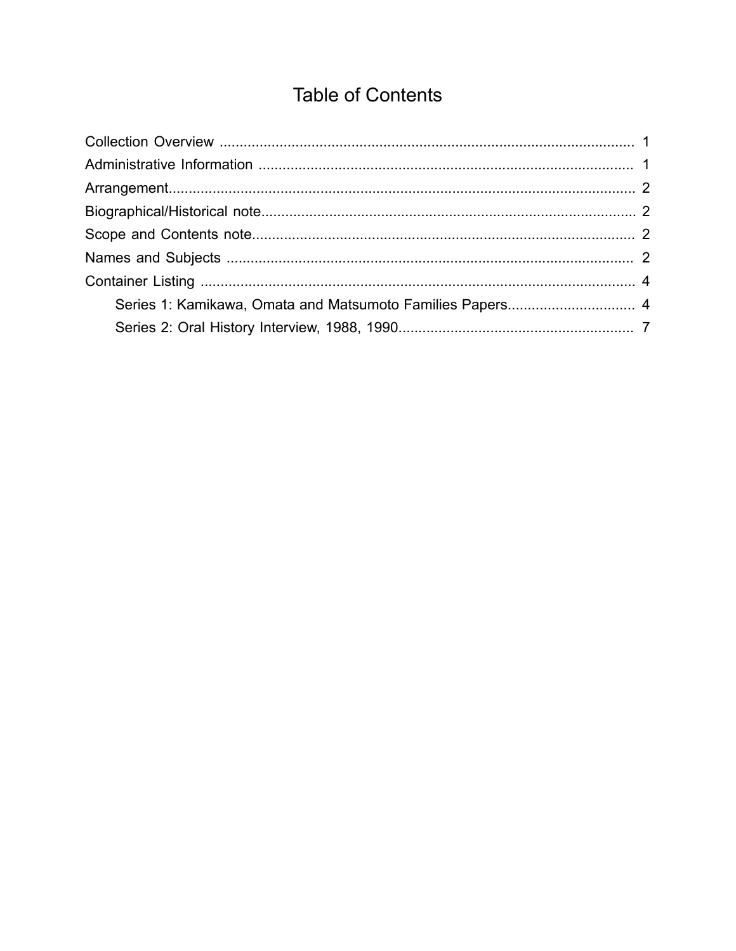## **Table of Contents**

<span id="page-1-0"></span>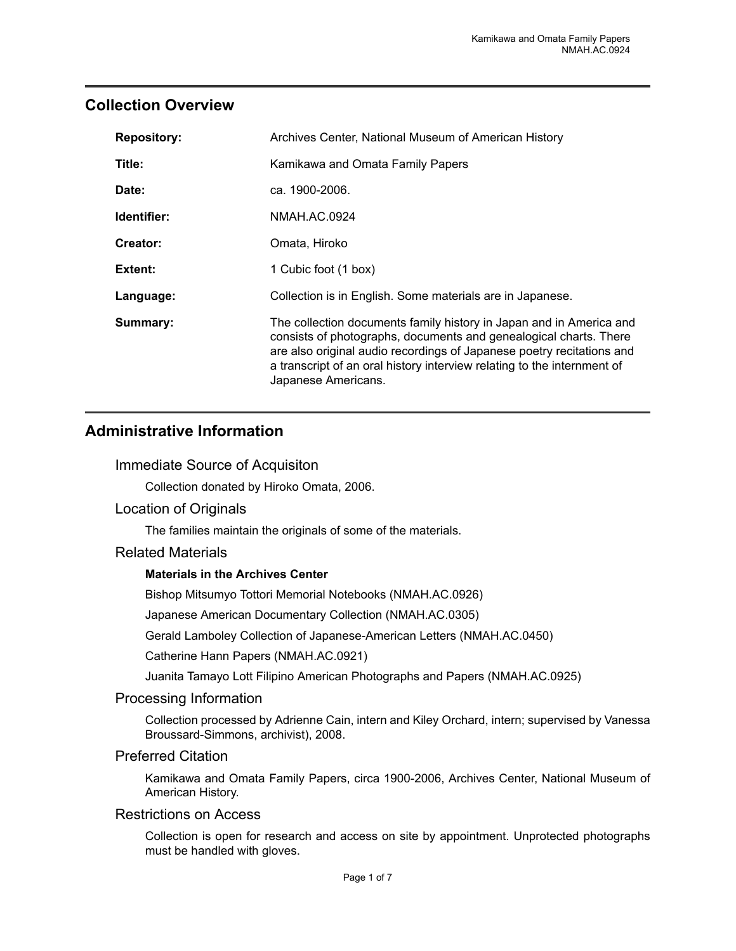## <span id="page-2-0"></span>**Collection Overview**

| <b>Repository:</b> | Archives Center, National Museum of American History                                                                                                                                                                                                                                                                |
|--------------------|---------------------------------------------------------------------------------------------------------------------------------------------------------------------------------------------------------------------------------------------------------------------------------------------------------------------|
| Title:             | Kamikawa and Omata Family Papers                                                                                                                                                                                                                                                                                    |
| Date:              | ca. 1900-2006.                                                                                                                                                                                                                                                                                                      |
| Identifier:        | NMAH.AC.0924                                                                                                                                                                                                                                                                                                        |
| Creator:           | Omata, Hiroko                                                                                                                                                                                                                                                                                                       |
| <b>Extent:</b>     | 1 Cubic foot (1 box)                                                                                                                                                                                                                                                                                                |
| Language:          | Collection is in English. Some materials are in Japanese.                                                                                                                                                                                                                                                           |
| Summary:           | The collection documents family history in Japan and in America and<br>consists of photographs, documents and genealogical charts. There<br>are also original audio recordings of Japanese poetry recitations and<br>a transcript of an oral history interview relating to the internment of<br>Japanese Americans. |

## <span id="page-2-1"></span>**Administrative Information**

#### Immediate Source of Acquisiton

Collection donated by Hiroko Omata, 2006.

#### Location of Originals

The families maintain the originals of some of the materials.

#### Related Materials

#### **Materials in the Archives Center**

Bishop Mitsumyo Tottori Memorial Notebooks (NMAH.AC.0926)

Japanese American Documentary Collection (NMAH.AC.0305)

Gerald Lamboley Collection of Japanese-American Letters (NMAH.AC.0450)

Catherine Hann Papers (NMAH.AC.0921)

Juanita Tamayo Lott Filipino American Photographs and Papers (NMAH.AC.0925)

#### Processing Information

Collection processed by Adrienne Cain, intern and Kiley Orchard, intern; supervised by Vanessa Broussard-Simmons, archivist), 2008.

#### Preferred Citation

Kamikawa and Omata Family Papers, circa 1900-2006, Archives Center, National Museum of American History.

#### Restrictions on Access

Collection is open for research and access on site by appointment. Unprotected photographs must be handled with gloves.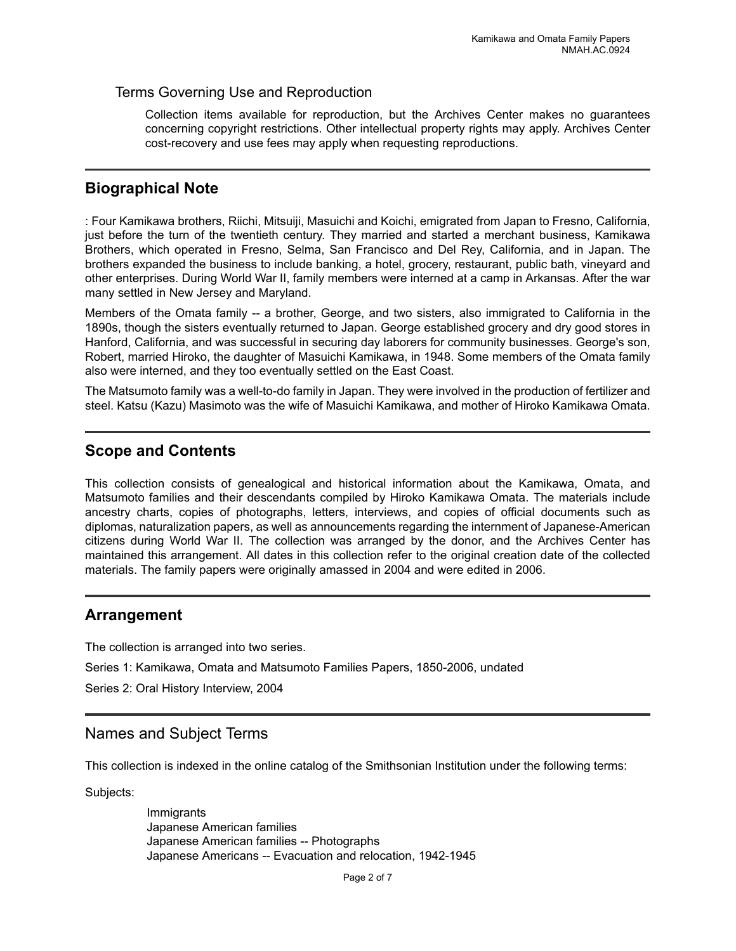#### Terms Governing Use and Reproduction

Collection items available for reproduction, but the Archives Center makes no guarantees concerning copyright restrictions. Other intellectual property rights may apply. Archives Center cost-recovery and use fees may apply when requesting reproductions.

## <span id="page-3-1"></span>**Biographical Note**

: Four Kamikawa brothers, Riichi, Mitsuiji, Masuichi and Koichi, emigrated from Japan to Fresno, California, just before the turn of the twentieth century. They married and started a merchant business, Kamikawa Brothers, which operated in Fresno, Selma, San Francisco and Del Rey, California, and in Japan. The brothers expanded the business to include banking, a hotel, grocery, restaurant, public bath, vineyard and other enterprises. During World War II, family members were interned at a camp in Arkansas. After the war many settled in New Jersey and Maryland.

Members of the Omata family -- a brother, George, and two sisters, also immigrated to California in the 1890s, though the sisters eventually returned to Japan. George established grocery and dry good stores in Hanford, California, and was successful in securing day laborers for community businesses. George's son, Robert, married Hiroko, the daughter of Masuichi Kamikawa, in 1948. Some members of the Omata family also were interned, and they too eventually settled on the East Coast.

The Matsumoto family was a well-to-do family in Japan. They were involved in the production of fertilizer and steel. Katsu (Kazu) Masimoto was the wife of Masuichi Kamikawa, and mother of Hiroko Kamikawa Omata.

## <span id="page-3-2"></span>**Scope and Contents**

This collection consists of genealogical and historical information about the Kamikawa, Omata, and Matsumoto families and their descendants compiled by Hiroko Kamikawa Omata. The materials include ancestry charts, copies of photographs, letters, interviews, and copies of official documents such as diplomas, naturalization papers, as well as announcements regarding the internment of Japanese-American citizens during World War II. The collection was arranged by the donor, and the Archives Center has maintained this arrangement. All dates in this collection refer to the original creation date of the collected materials. The family papers were originally amassed in 2004 and were edited in 2006.

### <span id="page-3-0"></span>**Arrangement**

The collection is arranged into two series.

Series 1: Kamikawa, Omata and Matsumoto Families Papers, 1850-2006, undated

Series 2: Oral History Interview, 2004

### <span id="page-3-3"></span>Names and Subject Terms

This collection is indexed in the online catalog of the Smithsonian Institution under the following terms:

Subjects:

Immigrants Japanese American families Japanese American families -- Photographs Japanese Americans -- Evacuation and relocation, 1942-1945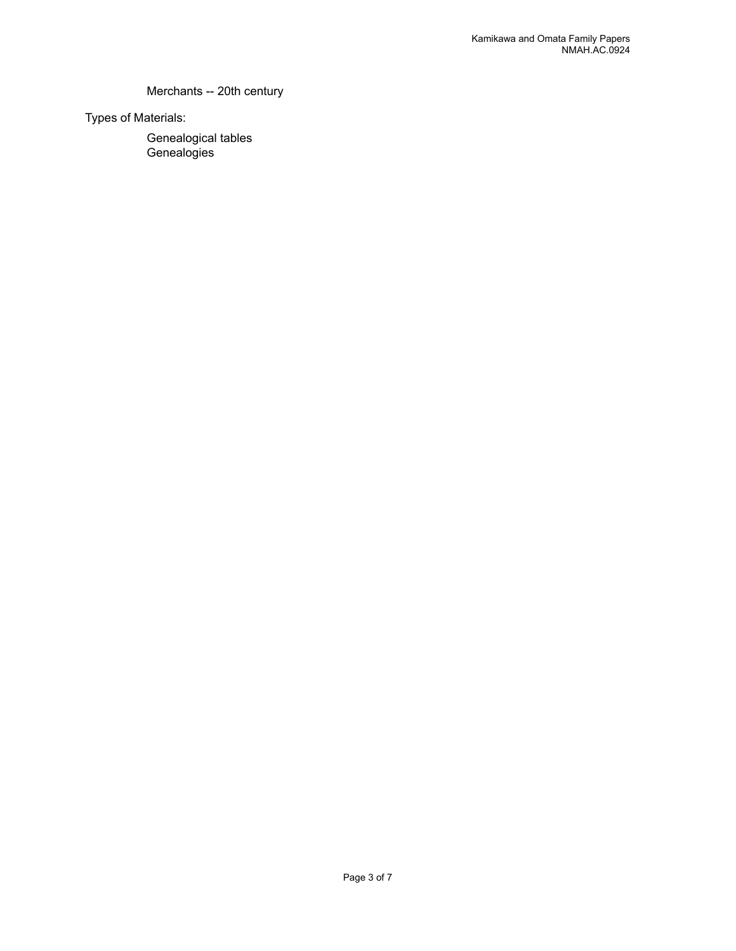#### Merchants -- 20th century

Types of Materials:

Genealogical tables **Genealogies**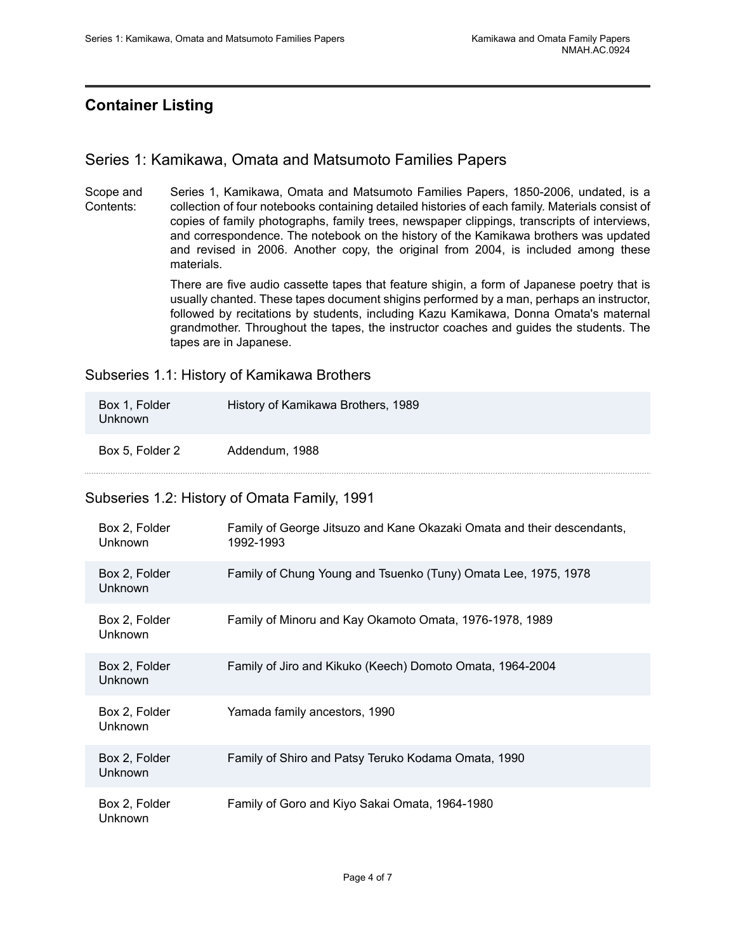## <span id="page-5-0"></span>**Container Listing**

## <span id="page-5-1"></span>Series 1: Kamikawa, Omata and Matsumoto Families Papers

Scope and Contents: Series 1, Kamikawa, Omata and Matsumoto Families Papers, 1850-2006, undated, is a collection of four notebooks containing detailed histories of each family. Materials consist of copies of family photographs, family trees, newspaper clippings, transcripts of interviews, and correspondence. The notebook on the history of the Kamikawa brothers was updated and revised in 2006. Another copy, the original from 2004, is included among these materials.

> There are five audio cassette tapes that feature shigin, a form of Japanese poetry that is usually chanted. These tapes document shigins performed by a man, perhaps an instructor, followed by recitations by students, including Kazu Kamikawa, Donna Omata's maternal grandmother. Throughout the tapes, the instructor coaches and guides the students. The tapes are in Japanese.

Subseries 1.1: History of Kamikawa Brothers

| Box 1, Folder<br>Unknown | History of Kamikawa Brothers, 1989 |
|--------------------------|------------------------------------|
| Box 5, Folder 2          | Addendum, 1988                     |

### Subseries 1.2: History of Omata Family, 1991

| Box 2, Folder<br><b>Unknown</b> | Family of George Jitsuzo and Kane Okazaki Omata and their descendants,<br>1992-1993 |
|---------------------------------|-------------------------------------------------------------------------------------|
| Box 2, Folder<br>Unknown        | Family of Chung Young and Tsuenko (Tuny) Omata Lee, 1975, 1978                      |
| Box 2, Folder<br><b>Unknown</b> | Family of Minoru and Kay Okamoto Omata, 1976-1978, 1989                             |
| Box 2, Folder<br>Unknown        | Family of Jiro and Kikuko (Keech) Domoto Omata, 1964-2004                           |
| Box 2, Folder<br><b>Unknown</b> | Yamada family ancestors, 1990                                                       |
| Box 2, Folder<br><b>Unknown</b> | Family of Shiro and Patsy Teruko Kodama Omata, 1990                                 |
| Box 2, Folder<br>Unknown        | Family of Goro and Kiyo Sakai Omata, 1964-1980                                      |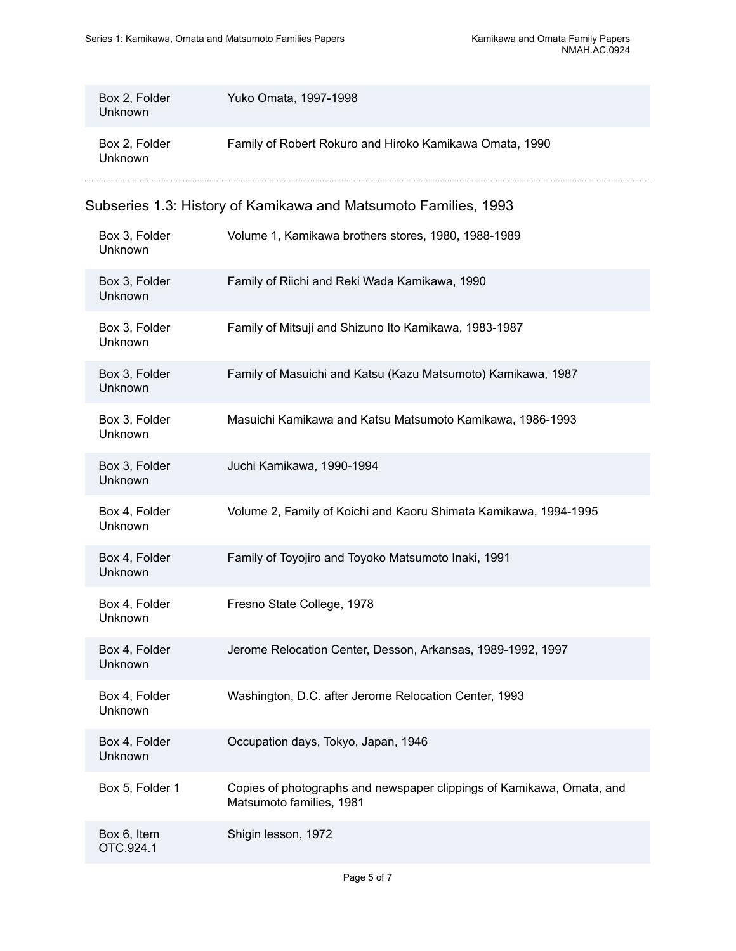| Box 2, Folder<br>Unknown | Yuko Omata, 1997-1998                                   |
|--------------------------|---------------------------------------------------------|
| Box 2, Folder<br>Unknown | Family of Robert Rokuro and Hiroko Kamikawa Omata, 1990 |

## Subseries 1.3: History of Kamikawa and Matsumoto Families, 1993

| Box 3, Folder<br>Unknown | Volume 1, Kamikawa brothers stores, 1980, 1988-1989                                               |
|--------------------------|---------------------------------------------------------------------------------------------------|
| Box 3, Folder<br>Unknown | Family of Riichi and Reki Wada Kamikawa, 1990                                                     |
| Box 3, Folder<br>Unknown | Family of Mitsuji and Shizuno Ito Kamikawa, 1983-1987                                             |
| Box 3, Folder<br>Unknown | Family of Masuichi and Katsu (Kazu Matsumoto) Kamikawa, 1987                                      |
| Box 3, Folder<br>Unknown | Masuichi Kamikawa and Katsu Matsumoto Kamikawa, 1986-1993                                         |
| Box 3, Folder<br>Unknown | Juchi Kamikawa, 1990-1994                                                                         |
| Box 4, Folder<br>Unknown | Volume 2, Family of Koichi and Kaoru Shimata Kamikawa, 1994-1995                                  |
| Box 4, Folder<br>Unknown | Family of Toyojiro and Toyoko Matsumoto Inaki, 1991                                               |
| Box 4, Folder<br>Unknown | Fresno State College, 1978                                                                        |
| Box 4, Folder<br>Unknown | Jerome Relocation Center, Desson, Arkansas, 1989-1992, 1997                                       |
| Box 4, Folder<br>Unknown | Washington, D.C. after Jerome Relocation Center, 1993                                             |
| Box 4, Folder<br>Unknown | Occupation days, Tokyo, Japan, 1946                                                               |
| Box 5, Folder 1          | Copies of photographs and newspaper clippings of Kamikawa, Omata, and<br>Matsumoto families, 1981 |
| Box 6, Item<br>OTC.924.1 | Shigin lesson, 1972                                                                               |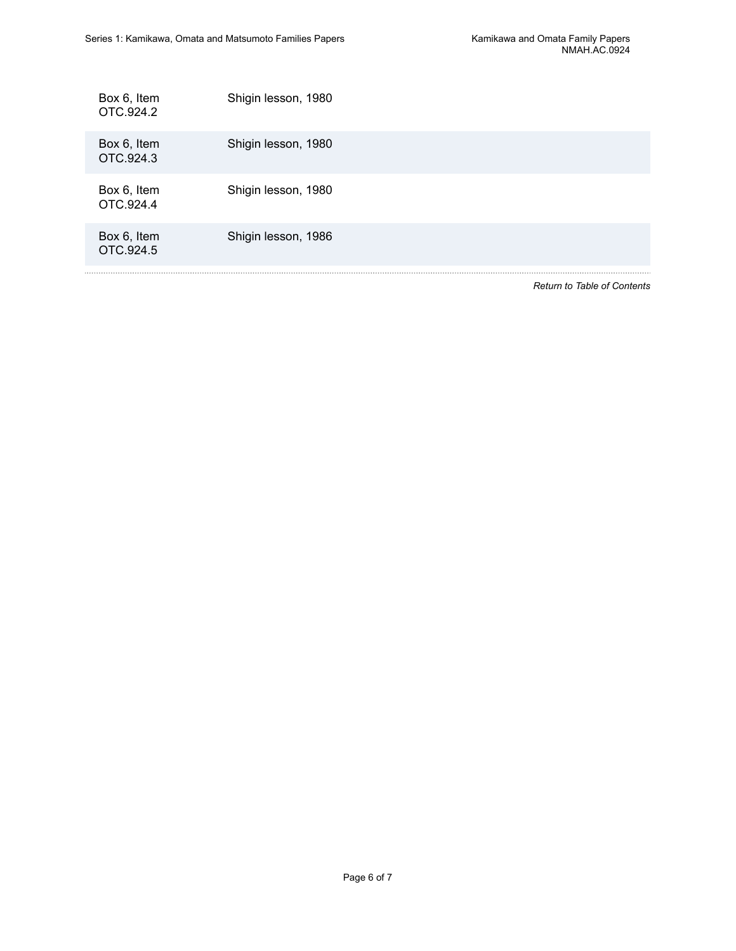Ţ,

| Box 6, Item<br>OTC.924.2 | Shigin lesson, 1980 |
|--------------------------|---------------------|
| Box 6, Item<br>OTC.924.3 | Shigin lesson, 1980 |
| Box 6, Item<br>OTC.924.4 | Shigin lesson, 1980 |
| Box 6, Item<br>OTC.924.5 | Shigin lesson, 1986 |
|                          |                     |

*Return to Table of [Contents](#page-1-0)*